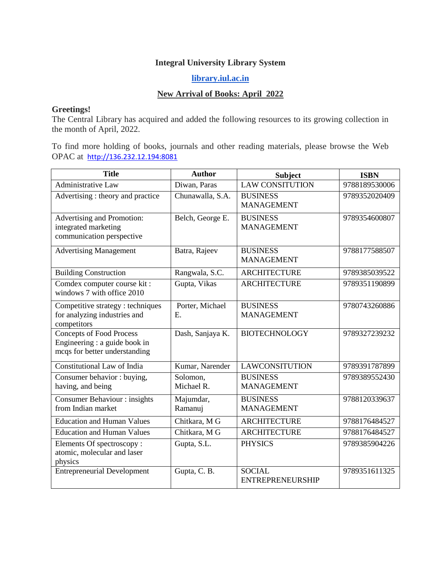## **Integral University Library System**

## **[library.iul.ac.in](http://library.iul.ac.in/)**

## **New Arrival of Books: April 2022**

## **Greetings!**

The Central Library has acquired and added the following resources to its growing collection in the month of April, 2022.

To find more holding of books, journals and other reading materials, please browse the Web OPAC at [http://136.232.12.194:8081](http://136.232.12.194:8081/)

| <b>Title</b>                                                                                      | <b>Author</b>          | <b>Subject</b>                           | <b>ISBN</b>   |
|---------------------------------------------------------------------------------------------------|------------------------|------------------------------------------|---------------|
| Administrative Law                                                                                | Diwan, Paras           | <b>LAW CONSITUTION</b>                   | 9788189530006 |
| Advertising : theory and practice                                                                 | Chunawalla, S.A.       | <b>BUSINESS</b><br><b>MANAGEMENT</b>     | 9789352020409 |
| Advertising and Promotion:<br>integrated marketing<br>communication perspective                   | Belch, George E.       | <b>BUSINESS</b><br><b>MANAGEMENT</b>     | 9789354600807 |
| <b>Advertising Management</b>                                                                     | Batra, Rajeev          | <b>BUSINESS</b><br><b>MANAGEMENT</b>     | 9788177588507 |
| <b>Building Construction</b>                                                                      | Rangwala, S.C.         | <b>ARCHITECTURE</b>                      | 9789385039522 |
| Comdex computer course kit:<br>windows 7 with office 2010                                         | Gupta, Vikas           | <b>ARCHITECTURE</b>                      | 9789351190899 |
| Competitive strategy : techniques<br>for analyzing industries and<br>competitors                  | Porter, Michael<br>E.  | <b>BUSINESS</b><br><b>MANAGEMENT</b>     | 9780743260886 |
| <b>Concepts of Food Process</b><br>Engineering : a guide book in<br>mcqs for better understanding | Dash, Sanjaya K.       | <b>BIOTECHNOLOGY</b>                     | 9789327239232 |
| <b>Constitutional Law of India</b>                                                                | Kumar, Narender        | <b>LAWCONSITUTION</b>                    | 9789391787899 |
| Consumer behavior : buying,<br>having, and being                                                  | Solomon.<br>Michael R. | <b>BUSINESS</b><br><b>MANAGEMENT</b>     | 9789389552430 |
| <b>Consumer Behaviour: insights</b><br>from Indian market                                         | Majumdar,<br>Ramanuj   | <b>BUSINESS</b><br><b>MANAGEMENT</b>     | 9788120339637 |
| <b>Education and Human Values</b>                                                                 | Chitkara, M G          | <b>ARCHITECTURE</b>                      | 9788176484527 |
| <b>Education and Human Values</b>                                                                 | Chitkara, M G          | <b>ARCHITECTURE</b>                      | 9788176484527 |
| Elements Of spectroscopy:<br>atomic, molecular and laser<br>physics                               | Gupta, S.L.            | <b>PHYSICS</b>                           | 9789385904226 |
| <b>Entrepreneurial Development</b>                                                                | Gupta, C.B.            | <b>SOCIAL</b><br><b>ENTREPRENEURSHIP</b> | 9789351611325 |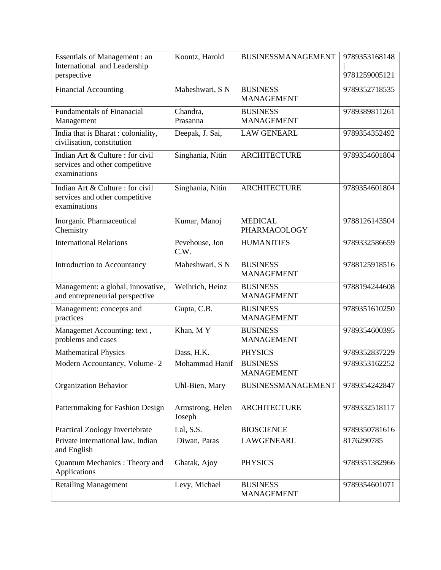| <b>Essentials of Management: an</b><br>International and Leadership<br>perspective | Koontz, Harold             | <b>BUSINESSMANAGEMENT</b>            | 9789353168148<br>9781259005121 |
|------------------------------------------------------------------------------------|----------------------------|--------------------------------------|--------------------------------|
| <b>Financial Accounting</b>                                                        | Maheshwari, SN             | <b>BUSINESS</b><br><b>MANAGEMENT</b> | 9789352718535                  |
| <b>Fundamentals of Finanacial</b><br>Management                                    | Chandra,<br>Prasanna       | <b>BUSINESS</b><br><b>MANAGEMENT</b> | 9789389811261                  |
| India that is Bharat: coloniality,<br>civilisation, constitution                   | Deepak, J. Sai,            | <b>LAW GENEARL</b>                   | 9789354352492                  |
| Indian Art & Culture : for civil<br>services and other competitive<br>examinations | Singhania, Nitin           | <b>ARCHITECTURE</b>                  | 9789354601804                  |
| Indian Art & Culture : for civil<br>services and other competitive<br>examinations | Singhania, Nitin           | <b>ARCHITECTURE</b>                  | 9789354601804                  |
| Inorganic Pharmaceutical<br>Chemistry                                              | Kumar, Manoj               | <b>MEDICAL</b><br>PHARMACOLOGY       | 9788126143504                  |
| <b>International Relations</b>                                                     | Pevehouse, Jon<br>C.W.     | <b>HUMANITIES</b>                    | 9789332586659                  |
| Introduction to Accountancy                                                        | Maheshwari, S N            | <b>BUSINESS</b><br><b>MANAGEMENT</b> | 9788125918516                  |
| Management: a global, innovative,<br>and entrepreneurial perspective               | Weihrich, Heinz            | <b>BUSINESS</b><br><b>MANAGEMENT</b> | 9788194244608                  |
| Management: concepts and<br>practices                                              | Gupta, C.B.                | <b>BUSINESS</b><br><b>MANAGEMENT</b> | 9789351610250                  |
| Managemet Accounting: text,<br>problems and cases                                  | Khan, MY                   | <b>BUSINESS</b><br><b>MANAGEMENT</b> | 9789354600395                  |
| <b>Mathematical Physics</b>                                                        | Dass, H.K.                 | <b>PHYSICS</b>                       | 9789352837229                  |
| Modern Accountancy, Volume-2                                                       | Mohammad Hanif             | <b>BUSINESS</b><br><b>MANAGEMENT</b> | 9789353162252                  |
| <b>Organization Behavior</b>                                                       | Uhl-Bien, Mary             | <b>BUSINESSMANAGEMENT</b>            | 9789354242847                  |
| Patternmaking for Fashion Design                                                   | Armstrong, Helen<br>Joseph | <b>ARCHITECTURE</b>                  | 9789332518117                  |
| <b>Practical Zoology Invertebrate</b>                                              | Lal, S.S.                  | <b>BIOSCIENCE</b>                    | 9789350781616                  |
| Private international law, Indian<br>and English                                   | Diwan, Paras               | LAWGENEARL                           | 8176290785                     |
| Quantum Mechanics: Theory and<br>Applications                                      | Ghatak, Ajoy               | <b>PHYSICS</b>                       | 9789351382966                  |
| <b>Retailing Management</b>                                                        | Levy, Michael              | <b>BUSINESS</b><br><b>MANAGEMENT</b> | 9789354601071                  |